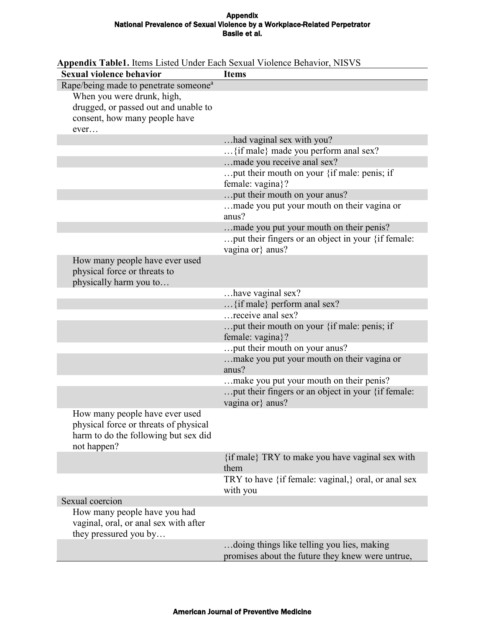## Appendix National Prevalence of Sexual Violence by a Workplace-Related Perpetrator Basile et al.

| Sexual violence behavior                                                                                                       | <b>Items</b>                                                                                   |
|--------------------------------------------------------------------------------------------------------------------------------|------------------------------------------------------------------------------------------------|
| Rape/being made to penetrate someone <sup>a</sup>                                                                              |                                                                                                |
| When you were drunk, high,                                                                                                     |                                                                                                |
| drugged, or passed out and unable to                                                                                           |                                                                                                |
| consent, how many people have                                                                                                  |                                                                                                |
| ever                                                                                                                           |                                                                                                |
|                                                                                                                                | had vaginal sex with you?                                                                      |
|                                                                                                                                | {if male} made you perform anal sex?                                                           |
|                                                                                                                                | made you receive anal sex?                                                                     |
|                                                                                                                                | put their mouth on your $\{$ if male: penis; if<br>female: vagina}?                            |
|                                                                                                                                | put their mouth on your anus?                                                                  |
|                                                                                                                                | made you put your mouth on their vagina or<br>anus?                                            |
|                                                                                                                                | made you put your mouth on their penis?                                                        |
|                                                                                                                                | put their fingers or an object in your {if female:<br>vagina or} anus?                         |
| How many people have ever used<br>physical force or threats to<br>physically harm you to                                       |                                                                                                |
|                                                                                                                                | have vaginal sex?                                                                              |
|                                                                                                                                | $\{$ if male $\}$ perform anal sex?                                                            |
|                                                                                                                                | receive anal sex?                                                                              |
|                                                                                                                                | put their mouth on your $\{$ if male: penis; if<br>female: vagina}?                            |
|                                                                                                                                | put their mouth on your anus?                                                                  |
|                                                                                                                                | make you put your mouth on their vagina or<br>anus?                                            |
|                                                                                                                                | make you put your mouth on their penis?                                                        |
|                                                                                                                                | put their fingers or an object in your {if female:<br>vagina or} anus?                         |
| How many people have ever used<br>physical force or threats of physical<br>harm to do the following but sex did<br>not happen? |                                                                                                |
|                                                                                                                                | {if male} TRY to make you have vaginal sex with<br>them                                        |
|                                                                                                                                | TRY to have {if female: vaginal,} oral, or anal sex<br>with you                                |
| Sexual coercion                                                                                                                |                                                                                                |
| How many people have you had                                                                                                   |                                                                                                |
| vaginal, oral, or anal sex with after<br>they pressured you by                                                                 |                                                                                                |
|                                                                                                                                | doing things like telling you lies, making<br>promises about the future they knew were untrue, |

## **Appendix Table1.** Items Listed Under Each Sexual Violence Behavior, NISVS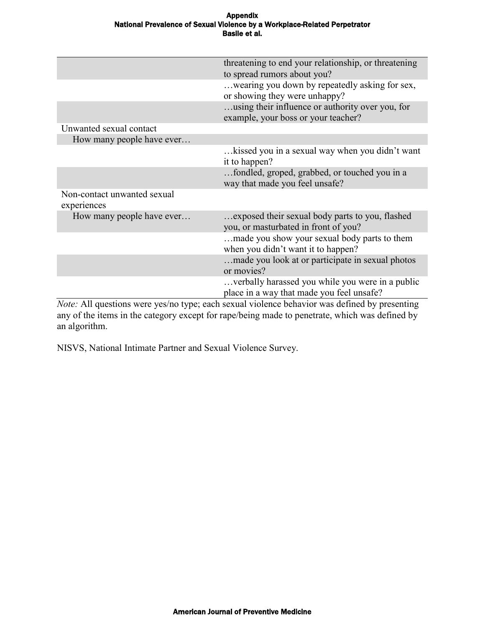## Appendix National Prevalence of Sexual Violence by a Workplace-Related Perpetrator Basile et al.

|                             | threatening to end your relationship, or threatening |  |  |  |  |
|-----------------------------|------------------------------------------------------|--|--|--|--|
|                             | to spread rumors about you?                          |  |  |  |  |
|                             | wearing you down by repeatedly asking for sex,       |  |  |  |  |
|                             | or showing they were unhappy?                        |  |  |  |  |
|                             | using their influence or authority over you, for     |  |  |  |  |
|                             | example, your boss or your teacher?                  |  |  |  |  |
| Unwanted sexual contact     |                                                      |  |  |  |  |
| How many people have ever   |                                                      |  |  |  |  |
|                             | kissed you in a sexual way when you didn't want      |  |  |  |  |
|                             | it to happen?                                        |  |  |  |  |
|                             | fondled, groped, grabbed, or touched you in a        |  |  |  |  |
|                             | way that made you feel unsafe?                       |  |  |  |  |
| Non-contact unwanted sexual |                                                      |  |  |  |  |
| experiences                 |                                                      |  |  |  |  |
| How many people have ever   | exposed their sexual body parts to you, flashed      |  |  |  |  |
|                             | you, or masturbated in front of you?                 |  |  |  |  |
|                             | made you show your sexual body parts to them         |  |  |  |  |
|                             | when you didn't want it to happen?                   |  |  |  |  |
|                             | made you look at or participate in sexual photos     |  |  |  |  |
|                             | or movies?                                           |  |  |  |  |
|                             |                                                      |  |  |  |  |
|                             | verbally harassed you while you were in a public.    |  |  |  |  |
|                             | place in a way that made you feel unsafe?            |  |  |  |  |

*Note:* All questions were yes/no type; each sexual violence behavior was defined by presenting any of the items in the category except for rape/being made to penetrate, which was defined by an algorithm.

NISVS, National Intimate Partner and Sexual Violence Survey.